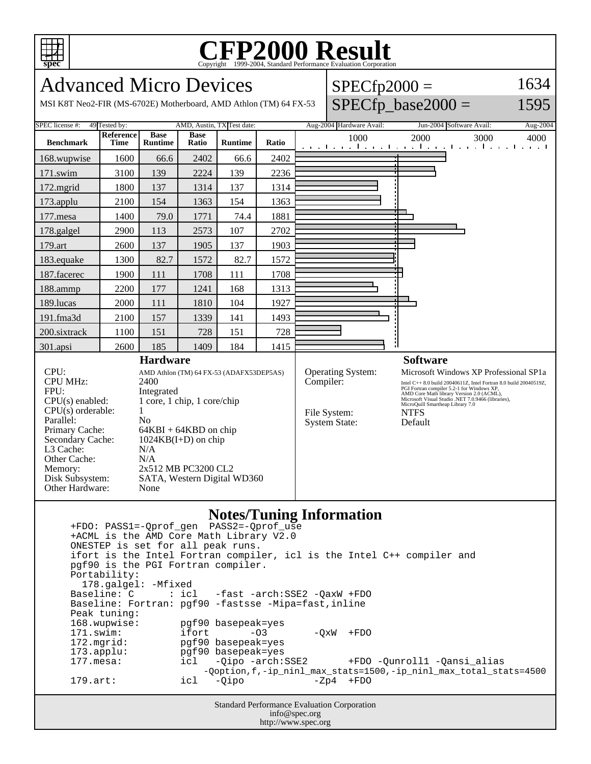

## **CFP2000 Result** Copyright 1999-2004, Standard Performance Evaluation Corporation

Advanced Micro Devices MSI K8T Neo2-FIR (MS-6702E) Motherboard, AMD Athlon (TM) 64 FX-53  $SPECfp2000 =$  $SPECfp\_base2000 =$ 1634 1595 SPEC license #: 49 Tested by: AMD, Austin, TX Test date: Aug-2004 Hardware Avail: Jun-2004 Software Avail: Aug-2004 **Benchmark Reference Time Base Runtime Base Runtime Ratio** 1000 2000 3000 4000 168.wupwise 1600 66.6 2402 66.6 2402 171.swim | 3100 | 139 | 2224 | 139 | 2236 172.mgrid | 1800 | 137 | 1314 | 137 | 1314 173.applu | 2100 | 154 | 1363 | 154 | 1363 177.mesa | 1400 | 79.0 | 1771 | 74.4 | 1881 178.galgel | 2900 | 113 | 2573 | 107 | 2702 179.art 2600 137 1905 137 1903 183.equake 1300 82.7 1572 82.7 1572 187.facerec | 1900 | 111 | 1708 | 111 | 1708 188.ammp | 2200 | 177 | 1241 | 168 | 1313 189.lucas | 2000 | 111 | 1810 | 104 | 1927 191.fma3d | 2100 | 157 | 1339 | 141 | 1493 200.sixtrack 1100 151 728 151 728 301.apsi 2600 185 1409 184 1415 **Hardware** CPU: AMD Athlon (TM) 64 FX-53 (ADAFX53DEP5AS)<br>CPU MHz: 2400 CPU MHz: FPU: Integrated CPU(s) enabled: 1 core, 1 chip, 1 core/chip  $CPU(s)$  orderable:  $1$ Parallel: No<br>Primary Cache: 64F  $64KBI + 64KBD$  on chip Secondary Cache: 1024KB(I+D) on chip L3 Cache: N/A Other Cache: N/A Memory: 2x512 MB PC3200 CL2 Disk Subsystem: SATA, Western Digital WD360 Other Hardware: None **Software** Operating System: Microsoft Windows XP Professional SP1a Compiler:<br>
Intel C++ 8.0 build 20040611Z, Intel Fortran 8.0 build 20040519Z,<br>
PGI Fortran compiler 5.2-1 for Windows XP,<br>
AMD Core Math library Version 2.0 (ACML),<br>
Microsoft Visual Studio .NET 7.0.9466 (libraries),<br>
Micro File System: NTFS<br>System State: Default System State:

## **Notes/Tuning Information**

 +FDO: PASS1=-Qprof\_gen PASS2=-Qprof\_use +ACML is the AMD Core Math Library V2.0 ONESTEP is set for all peak runs. ifort is the Intel Fortran compiler, icl is the Intel C++ compiler and pgf90 is the PGI Fortran compiler. Portability: 178.galgel: -Mfixed<br>Baseline: C : icl -fast -arch: SSE2 - QaxW +FDO Baseline: Fortran: pgf90 -fastsse -Mipa=fast,inline Peak tuning: 168.wupwise: pgf90 basepeak=yes 171.swim: ifort -O3 -QxW +FDO<br>172.mqrid: pqf90.basepeak=yes 172.mgrid: pgf90 basepeak=yes<br>173.applu: pgf90 basepeak=yes 173.applu: pgf90 basepeak=yes<br>177.mesa: icl -Qipo -arch: icl -Qipo -arch:SSE2 +FDO -Qunroll1 -Qansi\_alias -Qoption,f,-ip\_ninl\_max\_stats=1500,-ip\_ninl\_max\_total\_stats=4500 179.art: icl -Qipo -Zp4 +FDO

> Standard Performance Evaluation Corporation info@spec.org http://www.spec.org